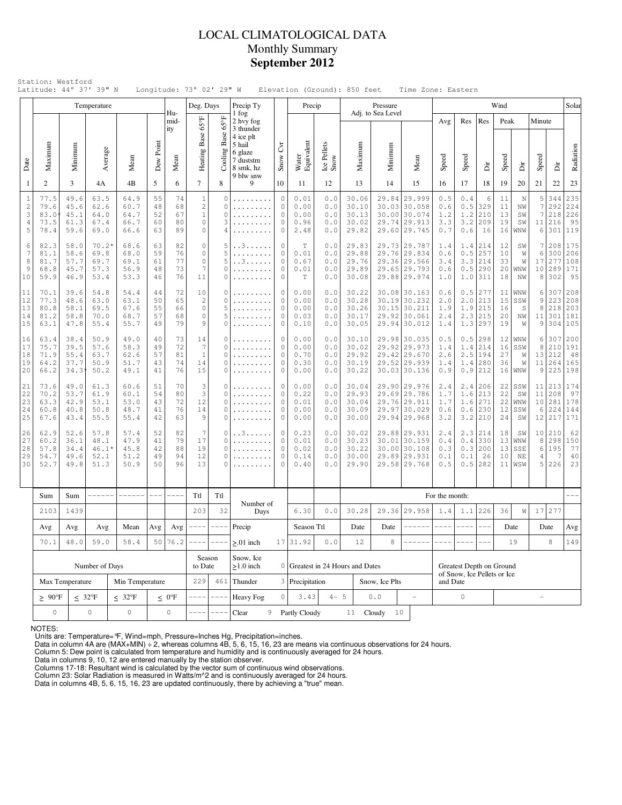# LOCAL CLIMATOLOGICAL DATA Monthly Summary **September 2012**

|                                                           |                                             |                                                                                                                                                                                                                                                                                | Temperature                             |                                      |                                      |                                   | Deg. Days                                                          |                                             | Precip Ty                                                                          |                                        | Precip                                             |                                                  |                                           | Pressure                      |                                                                              |                                  |                                 |                                                           | Wind                       |                               |                        |                                        | Solar                               |
|-----------------------------------------------------------|---------------------------------------------|--------------------------------------------------------------------------------------------------------------------------------------------------------------------------------------------------------------------------------------------------------------------------------|-----------------------------------------|--------------------------------------|--------------------------------------|-----------------------------------|--------------------------------------------------------------------|---------------------------------------------|------------------------------------------------------------------------------------|----------------------------------------|----------------------------------------------------|--------------------------------------------------|-------------------------------------------|-------------------------------|------------------------------------------------------------------------------|----------------------------------|---------------------------------|-----------------------------------------------------------|----------------------------|-------------------------------|------------------------|----------------------------------------|-------------------------------------|
|                                                           |                                             |                                                                                                                                                                                                                                                                                |                                         |                                      |                                      | Hu-<br>mid-                       |                                                                    |                                             | 1 fog<br>2 hvy fog                                                                 |                                        |                                                    |                                                  |                                           | Adj. to Sea Level             |                                                                              | Avg                              | Res                             | Res                                                       | Peak                       |                               | Minute                 |                                        |                                     |
| Date                                                      | Maximum                                     | Minimum                                                                                                                                                                                                                                                                        | Average                                 | Mean                                 | Dew Point                            | ity<br>Mean                       | Heating Base 65°F                                                  | Base 65°F<br>Cooling                        | 3 thunder<br>4 ice plt<br>5 hail<br>6 glaze<br>7 duststm<br>8 smk, hz<br>9 blw snw | Čνr<br>Snow                            | Water<br>Equivalent                                | Ice Pellets<br>Snow                              | Maximum                                   | Minimum                       | Mean                                                                         | Speed                            | Speed                           | Èir                                                       | Speed                      | Ä                             | Speed                  | Èir                                    | Radiation                           |
| 1                                                         | 2                                           | 3                                                                                                                                                                                                                                                                              | 4Α                                      | 4B                                   | 5                                    | 6                                 | $\tau$                                                             | 8                                           | 9                                                                                  | 10                                     | 11                                                 | 12                                               | 13                                        | 14                            | 15                                                                           | 16                               | 17                              | 18                                                        | 19                         | 20                            | 21                     | 22                                     | 23                                  |
| $\mathbf{1}$<br>2<br>3<br>4<br>5                          | 77.5<br>79.6<br>83.0<br>73.5<br>78.4        | 49.6<br>45.6<br>45.1<br>61.3<br>59.6                                                                                                                                                                                                                                           | 63.5<br>62.6<br>64.0<br>67.4<br>69.0    | 64.9<br>60.7<br>64.7<br>66.7<br>66.6 | 55<br>48<br>52<br>60<br>63           | 74<br>68<br>67<br>80<br>89        | $\mathbf{1}$<br>$\mathbf{2}$<br>$\mathbf{1}$<br>$\circ$<br>$\circ$ | 0<br>0<br>0<br>3<br>4                       | .                                                                                  | $\circ$<br>0<br>0<br>$\mathbf{0}$<br>0 | 0.01<br>0.00<br>0.00<br>0.96<br>2.48               | 0.0<br>0.0<br>0.0<br>0.0<br>0.0                  | 30.06<br>30.10<br>30.13<br>30.02<br>29.82 | 29.84                         | 29.999<br>30.03 30.058<br>30.00 30.074<br>29.74 29.913<br>29.60 29.745       | 0.5<br>0.6<br>1.2<br>3.3<br>0.7  | 0.4<br>0.5<br>1.2<br>3.2<br>0.6 | 6<br>329<br>210<br>209<br>16                              | 11<br>11<br>13<br>19<br>16 | N<br>ΝW<br>SW<br>SW<br>WNW    | 5<br>7<br>7<br>6       | 344<br>292<br>218<br>11 216<br>301     | 235<br>224<br>226<br>95<br>119      |
| 6<br>$\overline{7}$<br>8<br>9<br>10                       | 82.3<br>81.1<br>81.7<br>68.8<br>59.9        | 58.0<br>58.6<br>57.7<br>45.7<br>46.9                                                                                                                                                                                                                                           | $70.2*$<br>69.8<br>69.7<br>57.3<br>53.4 | 68.6<br>68.0<br>69.1<br>56.9<br>53.3 | 63<br>59<br>61<br>48<br>46           | 82<br>76<br>77<br>73<br>76        | $\circ$<br>$\circ$<br>$\mathbb O$<br>7<br>11                       | 5<br>5<br>5<br>0<br>$\Omega$                | . . 3<br>. . 3                                                                     | 0<br>0<br>0<br>0<br>$\mathbf{0}$       | $\mathbb T$<br>0.01<br>0.67<br>0.01<br>$\mathbb T$ | 0.0<br>0.0<br>0.0<br>$0.0$<br>0.0                | 29.83<br>29.88<br>29.76<br>29.89<br>30.08 |                               | 29.73 29.787<br>29.76 29.834<br>29.36 29.566<br>29.65 29.793<br>29.88 29.974 | 1.4<br>0.6<br>3.4<br>0.6<br>1.0  | 0.5                             | $1.4$   214<br>$0.5$ 257<br>$3.3$ 214<br>290<br>$1.0$ 311 | 12<br>10<br>33<br>20<br>18 | SW<br>W<br>W<br>WNW<br>NW     | 6<br>17<br>8           | 7 208<br>277<br>10 289<br>302          | 175<br>300 206<br>108<br>171<br>95  |
| 11<br>12<br>13<br>14<br>15                                | 70.1<br>77.3<br>80.8<br>81.2<br>63.1        | 39.6<br>48.6<br>58.1<br>58.8<br>47.8                                                                                                                                                                                                                                           | 54.8<br>63.0<br>69.5<br>70.0<br>55.4    | 54.4<br>63.1<br>67.6<br>68.7<br>55.7 | 44<br>50<br>55<br>57<br>49           | 72<br>65<br>66<br>68<br>79        | 10<br>2<br>$\circ$<br>$\circ$<br>9                                 | $\circ$<br>$\mathbf 0$<br>5<br>5<br>$\circ$ | .<br>.                                                                             | 0<br>0<br>0<br>0<br>0                  | 0.00<br>0.00<br>0.00<br>0.03<br>0.10               | 0.0<br>0.0<br>0.0<br>0.0<br>$0.0$                | 30.22<br>30.28<br>30.26<br>30.17<br>30.05 |                               | 30.08 30.163<br>30.19 30.232<br>30.15 30.211<br>29.92 30.061<br>29.94 30.012 | 0.6<br>2.0<br>1.9<br>2.4<br>1.4  | 0.5                             | 277<br>$2.0$ 213<br>$1.9$   215<br>$2.3$ 215<br>$1.3$ 297 | 11<br>15<br>16<br>20<br>19 | WNW<br>SSW<br>S<br>NW<br>W    | 6<br>9<br>8<br>11<br>9 | 307<br>223<br>218<br>301               | 208<br>208<br>203<br>181<br>304 105 |
| 16<br>17<br>18<br>19<br>20                                | 63.4<br>75.7<br>71.9<br>64.2<br>66.2        | 38.4<br>39.5<br>55.4<br>37.7<br>34.3'                                                                                                                                                                                                                                          | 50.9<br>57.6<br>63.7<br>50.9<br>50.2    | 49.0<br>58.3<br>62.6<br>51.7<br>49.1 | 40<br>49<br>57<br>43<br>41           | 73<br>72<br>81<br>74<br>76        | 14<br>7<br>$\mathbf{1}$<br>14<br>15                                | 0<br>$\Omega$<br>$\circ$<br>$\circ$<br>0    | .<br>.                                                                             | 0<br>0<br>$\mathbf{0}$<br>0<br>0       | 0.00<br>0.00<br>0.70<br>0.30<br>0.00               | 0.0<br>0.0<br>0.0<br>0.0<br>0.0                  | 30.10<br>30.02<br>29.92<br>30.19<br>30.22 |                               | 29.98 30.035<br>29.92 29.973<br>29.42 29.670<br>29.52 29.939<br>30.03 30.136 | 0.5<br>1.4<br>2.6<br>1.4<br>0.9  | 0.5<br>1.4<br>1.4               | 298<br>214<br>$2.5$   194<br>280<br>$0.9$   212           | 12<br>16<br>27<br>36<br>16 | WNW<br>SSW<br>W<br>W<br>  WNW | 6<br>8<br>13<br>9      | 307<br>210<br>212<br>11   264          | 200<br>191<br>48<br>165<br>225 198  |
| 21<br>22<br>23<br>24<br>25                                | 73.6<br>70.2<br>63.3<br>60.8<br>67.6        | 49.0<br>53.7<br>42.9<br>40.8<br>43.4                                                                                                                                                                                                                                           | 61.3<br>61.9<br>53.1<br>50.8<br>55.5    | 60.6<br>60.1<br>53.0<br>48.7<br>55.4 | 51<br>54<br>43<br>41<br>42           | 70<br>80<br>72<br>76<br>63        | 3<br>3<br>12<br>14<br>9                                            | 0<br>0<br>0<br>0<br>0                       | .<br>.                                                                             | 0<br>0<br>0<br>0<br>0                  | 0.00<br>0.22<br>0.01<br>0.00<br>0.00               | 0.0<br>0.0<br>0.0<br>0.0<br>0.0                  | 30.04<br>29.93<br>30.04<br>30.09<br>30.00 |                               | 29.90 29.976<br>29.69 29.786<br>29.76 29.911<br>29.97 30.029<br>29.94 29.968 | 2.4<br>1.7<br>1.7<br>0.6<br>3.2  | 1.6<br>0.6                      | $2.4$   206<br>213<br>$1.6$   271<br>230<br>$3.2$   210   | 22<br>22<br>22<br>12<br>24 | SSW<br>SW<br>WNW<br>SSW<br>SW | 11<br>10<br>6          | 11 213<br>208<br> 281<br>224<br>12 217 | 174<br>97<br>178<br>144<br>171      |
| 26<br>27<br>28<br>29<br>30                                | 62.9<br>60.2<br>57.8<br>54.7<br>52.7        | 52<br>7<br>52.6<br>57.8<br>57.4<br>82<br>$\circ$<br>. . 3<br>36.1<br>48.1<br>47.9<br>79<br>17<br>41<br>$\circ$<br>.<br>34.4<br>46.1*<br>45.8<br>42<br>88<br>19<br>$\circ$<br>49.6<br>52.1<br>51.2<br>49<br>94<br>12<br>0<br>49.8<br>51.3<br>50.9<br>50<br>96<br>13<br>$\Omega$ |                                         | 0<br>0<br>$\Omega$<br>0<br>0         | 0.23<br>0.01<br>0.02<br>0.14<br>0.40 | 0.0<br>0.0<br>$0.0$<br>0.0<br>0.0 | 30.02<br>30.23<br>30.22<br>30.00<br>29.90                          | 29.89                                       | 29.88 29.931<br>30.01 30.159<br>30.00 30.108<br>29.931<br>29.58 29.768             | 2.4<br>0.4<br>0.3<br>0.1<br>0.5        | 0.1<br>0.5                                         | $2.3$   214<br>$0.4$ 330<br>0.3 200<br>26<br>282 | 18<br>13<br>13<br>10<br>11                | SW<br>WNW<br>SSE<br>ΝE<br>WSW | 8<br>6<br>4<br>5                                                             | 10 210<br>298<br>195<br>7<br>226 | 62<br>150<br>77<br>40<br>23     |                                                           |                            |                               |                        |                                        |                                     |
|                                                           | Sum                                         | Sum                                                                                                                                                                                                                                                                            | $- - - - -$                             | ------                               | $---$                                | $--- - -$                         | Ttl                                                                | Ttl                                         |                                                                                    |                                        |                                                    |                                                  |                                           |                               |                                                                              | For the month:                   |                                 |                                                           |                            |                               |                        |                                        |                                     |
|                                                           | 2103                                        | Number of<br>1439<br>203<br>32<br>Days                                                                                                                                                                                                                                         |                                         |                                      | 6.30                                 | 0.0                               | 30.28                                                              |                                             | 29.36 29.958                                                                       | 1.4                                    |                                                    | $1.1$ 226                                        | 36                                        | W                             | 17                                                                           | 277                              |                                 |                                                           |                            |                               |                        |                                        |                                     |
|                                                           | Avg                                         | $--- -$<br>Precip<br>Mean<br>Avg<br>$--- - -$<br>Avg<br>Avg<br>Avg                                                                                                                                                                                                             |                                         |                                      | Season Ttl                           |                                   | Date                                                               | Date                                        | -------                                                                            | $--- - -$                              | ----                                               | $- - -$                                          |                                           | Date                          |                                                                              | Date                             | Avg                             |                                                           |                            |                               |                        |                                        |                                     |
|                                                           | 48.0<br>59.0<br>58.4<br>501<br>76.2<br>70.1 |                                                                                                                                                                                                                                                                                |                                         |                                      |                                      |                                   |                                                                    | $-$                                         | $> 01$ inch                                                                        |                                        | 17 31.92                                           | 0.0                                              | 12                                        | 8                             |                                                                              |                                  |                                 |                                                           |                            | 19                            |                        | 8                                      | 149                                 |
|                                                           | Number of Days                              |                                                                                                                                                                                                                                                                                |                                         |                                      |                                      |                                   |                                                                    | Season<br>to Date                           | Snow, Ice<br>$>1.0$ inch                                                           |                                        |                                                    |                                                  | 0 Greatest in 24 Hours and Dates          |                               |                                                                              |                                  | Greatest Depth on Ground        |                                                           |                            |                               |                        |                                        |                                     |
|                                                           |                                             | Max Temperature                                                                                                                                                                                                                                                                |                                         | Min Temperature                      |                                      |                                   | 229                                                                | 461                                         | Thunder                                                                            |                                        | 3 Precipitation                                    |                                                  |                                           | Snow, Ice Plts                |                                                                              | and Date                         | of Snow, Ice Pellets or Ice     |                                                           |                            |                               |                        |                                        |                                     |
|                                                           | $\geq 90^{\circ}$ F                         | $\leq 32^{\circ}F$                                                                                                                                                                                                                                                             |                                         | $\leq 0$ °F                          |                                      | $-$                               | <b>Heavy Fog</b>                                                   | $\circ$                                     | 3.43                                                                               | $4 - 5$                                |                                                    | $0.0$                                            | $\overline{\phantom{a}}$                  |                               | $\circ$                                                                      |                                  |                                 |                                                           | $\overline{\phantom{0}}$   |                               |                        |                                        |                                     |
| $\mathsf{O}$<br>$\circ$<br>$\circ$<br>$\mathsf{O}\xspace$ |                                             |                                                                                                                                                                                                                                                                                |                                         |                                      |                                      |                                   |                                                                    |                                             | 9<br>Clear                                                                         |                                        | Partly Cloudy                                      |                                                  | 11                                        | 10<br>Cloudy                  |                                                                              |                                  |                                 |                                                           |                            |                               |                        |                                        |                                     |

NOTES:

Units are: Temperature=  $\mathbb{F}$ , Wind=mph, Pressure=Inches Hg, Precipitation=inches.<br>Data in column 4A are (MAX+MIN) ÷ 2, whereas columns 4B, 5, 6, 15, 16, 23 are means via continuous observations for 24 hours.<br>Column 5:

Column 23: Solar Radiation is measured in Watts/m^2 and is continuously averaged for 24 hours. Data in columns 4B, 5, 6, 15, 16, 23 are updated continuously, there by achieving a "true" mean.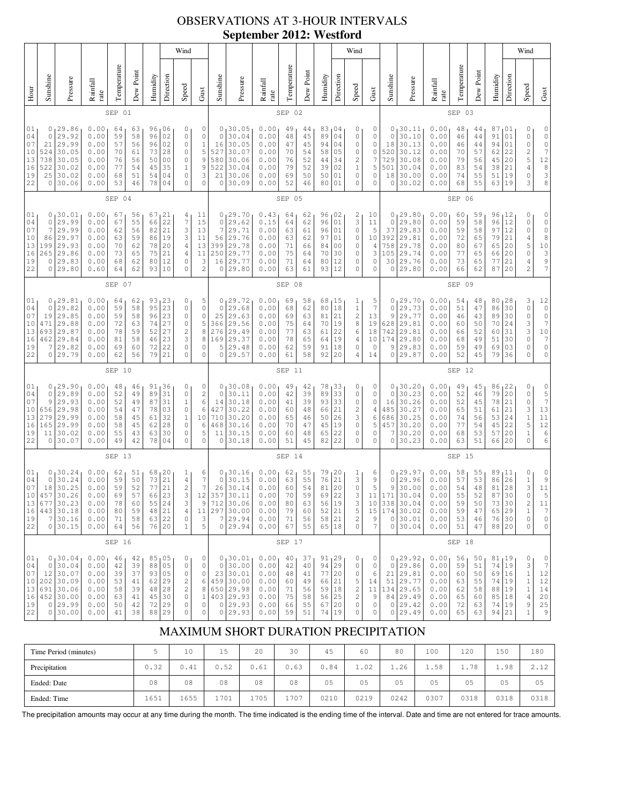# OBSERVATIONS AT 3-HOUR INTERVALS **September 2012: Westford**

|                                                  |                                                                                                                                                                                                                                                                                                                                                                                                                                                                                         |                                                                                                      |                                                              |                                              |                                              |                                                    |                                                                | Wind                                                                                               |                                                                                       |                                                              |                                                                                            |                                                              |                                              |                                              |                                                                       |                                                          | Wind                                                                                            |                                                                      |                                                              |                                                                                                         |                                                              |                                              |                                              |                                                                        |                                                                  | Wind                                                                 |                                                                                                                          |
|--------------------------------------------------|-----------------------------------------------------------------------------------------------------------------------------------------------------------------------------------------------------------------------------------------------------------------------------------------------------------------------------------------------------------------------------------------------------------------------------------------------------------------------------------------|------------------------------------------------------------------------------------------------------|--------------------------------------------------------------|----------------------------------------------|----------------------------------------------|----------------------------------------------------|----------------------------------------------------------------|----------------------------------------------------------------------------------------------------|---------------------------------------------------------------------------------------|--------------------------------------------------------------|--------------------------------------------------------------------------------------------|--------------------------------------------------------------|----------------------------------------------|----------------------------------------------|-----------------------------------------------------------------------|----------------------------------------------------------|-------------------------------------------------------------------------------------------------|----------------------------------------------------------------------|--------------------------------------------------------------|---------------------------------------------------------------------------------------------------------|--------------------------------------------------------------|----------------------------------------------|----------------------------------------------|------------------------------------------------------------------------|------------------------------------------------------------------|----------------------------------------------------------------------|--------------------------------------------------------------------------------------------------------------------------|
| Hour                                             | Sunshine                                                                                                                                                                                                                                                                                                                                                                                                                                                                                | Temperature<br>Dew Point<br>Humidity<br>Direction<br>Pressure<br>Rainfall<br>Speed<br>rate<br>SEP 01 |                                                              |                                              |                                              |                                                    |                                                                |                                                                                                    | Gust                                                                                  | Sunshine                                                     | Pressure                                                                                   | Rainfall<br>rate                                             | Temperature                                  | Dew Poin                                     | Humidity                                                              | Direction                                                | Speed                                                                                           | Gust                                                                 | Sunshine                                                     | Pressure                                                                                                | Rainfall<br>rate                                             | Temperature                                  | Dew Point                                    | Humidity                                                               | Direction                                                        | Speed                                                                | Gust                                                                                                                     |
|                                                  |                                                                                                                                                                                                                                                                                                                                                                                                                                                                                         |                                                                                                      |                                                              |                                              |                                              |                                                    |                                                                |                                                                                                    |                                                                                       |                                                              |                                                                                            |                                                              | SEP 02                                       |                                              |                                                                       |                                                          |                                                                                                 |                                                                      |                                                              |                                                                                                         |                                                              | SEP 03                                       |                                              |                                                                        |                                                                  |                                                                      |                                                                                                                          |
| 01<br>04<br>07<br>10<br>13<br>16<br>19<br>22     | 29.86<br>0.00<br>96<br>06<br>0<br>0<br>64<br>63<br>29.92<br>0.00<br>02<br>$\circ$<br>0<br>59<br>58<br>96<br>29.99<br>0.00<br>02<br>$\circ$<br>57<br>96<br>21<br>56<br>30.05<br>28<br>524<br>0.00<br>70<br>73<br>$\circ$<br>61<br>30.05<br>738<br>0.00<br>76<br>56<br>50<br>0 <sub>0</sub><br>$\circ$<br>522<br>30.02<br>0.00<br>77<br>45<br>35<br>$\mathbf{1}$<br>54<br>30.02<br>25<br>0.00<br>51<br>54<br>04<br>$\circ$<br>68<br>30.06<br>0<br>0.00<br>53<br>46<br>78<br>04<br>$\circ$ |                                                                                                      |                                                              |                                              |                                              |                                                    | 0<br>$\mathbb O$<br>$\mathbf 1$<br>5<br>9<br>9<br>3<br>$\circ$ | 0<br>$\Omega$<br>16<br>527<br>580<br>522<br>21<br>$\circ$                                          | 30.05<br>30.04<br>30.05<br>30.07<br>30.06<br>30.04<br>30.06<br>30.09                  | 0.00<br>0.00<br>0.00<br>0.00<br>0.00<br>0.00<br>0.00<br>0.00 | 49<br>48<br>47<br>70<br>76<br>79<br>69<br>52                                               | 44<br>45<br>45<br>54<br>52<br>52<br>50<br>46                 | 83<br>89<br>94<br>58<br>44<br>39<br>50<br>80 | 04<br>04<br>04<br>05<br>34<br>02<br>01<br>01 | 0<br>0<br>0<br>0<br>$\overline{\mathbf{c}}$<br>$\mathbf{1}$<br>0<br>0 | 0<br>0<br>0<br>0<br>7<br>5<br>0<br>0                     | 0<br>0<br>18<br>520<br>729<br>501<br>18<br>0                                                    | 30.11<br>30.10<br>30.13<br>30.12<br>30.08<br>30.04<br>30.00<br>30.02 | 0.00<br>0.00<br>0.00<br>0.00<br>0.00<br>0.00<br>0.00<br>0.00 | 48<br>46<br>46<br>70<br>79<br>83<br>74<br>68                                                            | 44<br>44<br>44<br>57<br>56<br>54<br>55<br>55                 | 87<br>91<br>94<br>62<br>45<br>38<br>51<br>63 | 01<br>01<br>01<br>22<br>20<br>21<br>19<br>19 | 0<br>0<br>0<br>$\frac{2}{5}$<br>4<br>0<br>3                            | 0<br>$\mathbb O$<br>$\mathbb O$<br>7<br>12<br>$\frac{8}{3}$<br>8 |                                                                      |                                                                                                                          |
|                                                  |                                                                                                                                                                                                                                                                                                                                                                                                                                                                                         |                                                                                                      |                                                              | SEP 04                                       |                                              |                                                    |                                                                |                                                                                                    |                                                                                       |                                                              |                                                                                            |                                                              | SEP 05                                       |                                              |                                                                       |                                                          |                                                                                                 |                                                                      |                                                              |                                                                                                         |                                                              | SEP 06                                       |                                              |                                                                        |                                                                  |                                                                      |                                                                                                                          |
| 01<br>04<br>07<br>10<br>13<br>16<br>19<br>22     | 0<br>0<br>7<br>86<br>199<br>265<br>$\circ$<br>0                                                                                                                                                                                                                                                                                                                                                                                                                                         | 30.01<br>29.99<br>29.99<br>29.97<br>29.93<br>29.86<br>29.83<br>29.80                                 | 0.00<br>0.00<br>0.00<br>0.00<br>0.00<br>0.00<br>0.00<br>0.60 | 67<br>67<br>62<br>63<br>70<br>73<br>68<br>64 | 56<br>55<br>56<br>59<br>62<br>65<br>62<br>62 | 67<br>66<br>82<br>86<br>78<br>75<br>80<br>93       | 21<br>22<br>21<br>19<br>20<br>21<br>12<br>10                   | 4<br>$\overline{7}$<br>3<br>3<br>$\overline{4}$<br>$\overline{4}$<br>$\circ$<br>$\circ$            | 11<br>15<br>13<br>11<br>13<br>11<br>3<br>$\overline{c}$                               | 0<br>0<br>7<br>56<br>399<br>250<br>16<br>$\circ$             | 29.70<br>29.62<br>29.71<br>29.76<br>29.78<br>29.77<br>29.77<br>29.80                       | 0.43<br>0.15<br>0.00<br>0.00<br>0.00<br>0.00<br>0.00<br>0.00 | 64<br>64<br>63<br>63<br>71<br>75<br>71<br>63 | 62<br>62<br>61<br>62<br>66<br>64<br>64<br>61 | 96<br>96<br>96<br>97<br>84<br>70<br>80<br>93                          | 02<br>01<br>01<br>01<br>0 <sub>0</sub><br>30<br>12<br>12 | 2<br>3<br>$\mathbb O$<br>0<br>0<br>0<br>0<br>0                                                  | 10<br>11<br>5<br>10<br>4<br>3<br>0<br>0                              | 0<br>0<br>37<br>392<br>758<br>105<br>30<br>0                 | 29.80<br>29.80<br>29.83<br>29.81<br>29.78<br>29.74<br>29.76<br>29.80                                    | 0.00<br>0.00<br>0.00<br>0.00<br>0.00<br>0.00<br>0.00<br>0.00 | 60<br>59<br>59<br>72<br>80<br>77<br>73<br>66 | 59<br>58<br>58<br>65<br>67<br>65<br>65<br>62 | 96<br>96<br>97<br>79<br>65<br>66<br>77<br>87                           | 12<br>12<br>12<br>21<br>20<br>20<br>21<br>20                     | 0<br>0<br>0<br>4<br>5<br>0<br>4<br>$\overline{\mathbf{c}}$           | 0<br>$\mathbb O$<br>$\mathbb O$<br>8<br>$\begin{smallmatrix}1&0\\&3\end{smallmatrix}$<br>$\frac{9}{7}$                   |
|                                                  | 07<br>SEP                                                                                                                                                                                                                                                                                                                                                                                                                                                                               |                                                                                                      |                                                              |                                              |                                              |                                                    |                                                                |                                                                                                    |                                                                                       |                                                              |                                                                                            | SEP 08                                                       |                                              |                                              |                                                                       |                                                          |                                                                                                 |                                                                      |                                                              |                                                                                                         | SEP 09                                                       |                                              |                                              |                                                                        |                                                                  |                                                                      |                                                                                                                          |
| 01<br>04<br>07<br>10<br>13<br>16<br>19<br>22     | 0<br>0<br>19<br>471<br>693<br>462<br>7<br>0                                                                                                                                                                                                                                                                                                                                                                                                                                             | 29.81<br>29.82<br>29.85<br>29.88<br>29.87<br>29.84<br>29.82<br>29.79                                 | 0.00<br>0.00<br>0.00<br>0.00<br>0.00<br>0.00<br>0.00<br>0.00 | 64<br>59<br>59<br>72<br>78<br>81<br>69<br>62 | 62<br>58<br>58<br>63<br>59<br>58<br>60<br>56 | 93<br>95<br>96<br>74<br>52<br>46<br>72<br>79       | 23<br>23<br>23<br>27<br>27<br>23<br>22<br>21                   | 0<br>$\circ$<br>$\circ$<br>$\circ$<br>$\sqrt{2}$<br>3<br>$\circ$<br>$\circ$                        | 5<br>0<br>$\mathbb O$<br>5<br>8<br>8<br>0<br>$\mathbb O$                              | 0<br>0<br>25<br>366<br>276<br>169<br>5<br>0                  | 29.72<br>29.68<br>29.63<br>29.56<br>29.49<br>29.37<br>29.48<br>29.57                       | 0.00<br>0.00<br>0.00<br>0.00<br>0.00<br>0.00<br>0.00<br>0.00 | 69<br>68<br>69<br>75<br>77<br>78<br>62<br>61 | 58<br>62<br>63<br>64<br>63<br>65<br>59<br>58 | 68<br>80<br>81<br>70<br>61<br>64<br>91<br>92                          | 15 ا<br>18<br>21<br>19<br>22<br>19<br>18<br>20           | 1<br>$1\,$<br>$\overline{\mathbf{c}}$<br>8<br>6<br>4<br>0<br>4                                  | 5<br>7<br>13<br>19<br>18<br>10<br>$\circ$<br>14                      | 0<br>0<br>9<br>628<br>742<br>174<br>9<br>0                   | 29.70<br>29.73<br>29.77<br>29.81<br>29.81<br>29.80<br>29.83<br>29.87                                    | 0.00<br>0.00<br>0.00<br>0.00<br>0.00<br>0.00<br>0.00<br>0.00 | 54<br>51<br>46<br>60<br>66<br>68<br>59<br>52 | 48<br>47<br>43<br>50<br>52<br>49<br>49<br>45 | 80<br>86<br>89<br>70<br>60<br>51<br>69<br>79                           | 28<br>30<br>30<br>24<br>31<br>30<br>03<br>36                     | 3<br>0<br>0<br>3<br>3<br>$\mathsf{O}\xspace$<br>0<br>0               | 12<br>$\mathbb O$<br>$\mathbb O$<br>$\boldsymbol{7}$<br>$1\,0$<br>$\boldsymbol{7}$<br>$\mathbb O$<br>$\mathsf{O}\xspace$ |
|                                                  |                                                                                                                                                                                                                                                                                                                                                                                                                                                                                         |                                                                                                      |                                                              | SEP 10                                       |                                              |                                                    |                                                                |                                                                                                    |                                                                                       |                                                              |                                                                                            |                                                              | SEP 11                                       |                                              |                                                                       |                                                          |                                                                                                 |                                                                      |                                                              |                                                                                                         |                                                              | SEP 12                                       |                                              |                                                                        |                                                                  |                                                                      |                                                                                                                          |
| 01<br>04<br>07<br>10<br>13<br>16<br>19<br>22     | 0<br>0<br>9<br>656<br>279<br>165<br>11<br>0                                                                                                                                                                                                                                                                                                                                                                                                                                             | 29.90<br>29.89<br>29.93<br>29.98<br>29.99<br>29.99<br>30.02<br>30.07                                 | 0.00<br>0.00<br>0.00<br>0.00<br>0.00<br>0.00<br>0.00<br>0.00 | 48<br>52<br>52<br>54<br>58<br>58<br>55<br>49 | 46<br>49<br>49<br>47<br>45<br>45<br>43<br>42 | 91<br>89<br>87<br>78<br>61<br>62<br>63<br>78       | 36<br>31<br>31<br>03<br>32<br>28<br>30<br>04                   | $\circ$<br>$\circ$<br>$\mathbf{1}$<br>$\mathbb O$<br>$\mathbf{1}$<br>$\circ$<br>$\circ$<br>$\circ$ | 0<br>$\mathbf{2}$<br>6<br>$\overline{6}$<br>10<br>6<br>5<br>0                         | 0<br>$\mathbf 0$<br>14<br>427<br>710<br>468<br>11<br>0       | 30.08<br>30.11<br>30.18<br>30.22<br>30.20<br>30.16<br>30.15<br>30.18                       | 0.00<br>0.00<br>0.00<br>0.00<br>0.00<br>0.00<br>0.00<br>0.00 | 49<br>42<br>41<br>60<br>65<br>70<br>60<br>51 | 42<br>39<br>39<br>48<br>46<br>47<br>48<br>45 | 78<br>89<br>93<br>66<br>50<br>45<br>65<br>82                          | 33 <br>33<br>33<br>21<br>26<br>19<br>22<br>22            | 0<br>0<br>0<br>$\overline{\mathbf{c}}$<br>3<br>$\mathbb O$<br>0<br>0                            | 0<br>0<br>0<br>4<br>6<br>5<br>0<br>0                                 | 0<br>0<br>16<br>485<br>686<br>457<br>7<br>0                  | 30.20<br>30.23<br>30.26<br>30.27<br>30.25<br>30.20<br>30.20<br>30.23                                    | 0.00<br>0.00<br>0.00<br>0.00<br>0.00<br>0.00<br>0.00<br>0.00 | 49<br>52<br>52<br>65<br>74<br>77<br>68<br>63 | 45<br>46<br>45<br>51<br>56<br>54<br>53<br>51 | 86 <sub>1</sub><br>79<br>78<br>61<br>53<br>45<br>57<br>66              | 22<br>20<br>21<br>21<br>24<br>22<br>20<br>20                     | 0<br>0<br>0<br>3<br>$\,1\,$<br>5<br>$\mathbf 1$<br>0                 | $\circ$<br>$\frac{5}{7}$<br>$13$<br>$1\,1$<br>12<br>6<br>6                                                               |
|                                                  |                                                                                                                                                                                                                                                                                                                                                                                                                                                                                         | SEP 13                                                                                               |                                                              |                                              |                                              |                                                    |                                                                |                                                                                                    |                                                                                       |                                                              |                                                                                            | SEP 14                                                       |                                              |                                              |                                                                       |                                                          |                                                                                                 |                                                                      |                                                              |                                                                                                         | SEP 15                                                       |                                              |                                              |                                                                        |                                                                  |                                                                      |                                                                                                                          |
| 01<br>04<br>07<br>10<br>13<br>16<br>19<br>22     | 0<br>0<br>18<br>457<br>7                                                                                                                                                                                                                                                                                                                                                                                                                                                                | 30.24<br>30.24<br>30.25<br>30.26<br>677 30.23<br>443 30.18<br>30.16<br>0 30.15                       | 0.00<br>0.00<br>0.00<br>0.00<br>0.00<br>0.00<br>0.00<br>0.00 | 62<br>59<br>59<br>69<br>78<br>80<br>71<br>64 | 51<br>50<br>52<br>57<br>60<br>59<br>58<br>56 | 68<br>73<br>77<br>66<br>55<br>48<br>63 22<br>76 20 | 120<br>21<br>21<br>23<br>$2\sqrt{4}$<br>$2\sqrt{1}$            | 1<br>$\sqrt{4}$<br>$\frac{2}{3}$<br>3<br>$\overline{4}$<br>$\mathbb O$<br>$\mathbf{1}$             | 6<br>7<br>$\boldsymbol{7}$<br>$1\,2$<br>9<br>$1\,1$<br>$\ensuremath{\mathsf{3}}$<br>5 | 0<br>$\circ$<br>26<br>357                                    | 30.16<br>30.15<br>30.14<br>30.11<br>712 30.06<br>297 30.00<br>7 29.94<br>0 29.94           | 0.00<br>0.00<br>0.00<br>0.00<br>0.00<br>0.00<br>0.00<br>0.00 | 62<br>63<br>60<br>70<br>80<br>79<br>71<br>67 | 55<br>55<br>54<br>59<br>63<br>60<br>56<br>55 | 79<br>76<br>81<br>69<br>56<br>$5\sqrt{2}$<br>58<br>65 18              | 20<br>21<br>20<br>22<br>19<br>$\overline{21}$<br> 21     | 1<br>3<br>$\mathbb O$<br>3<br>3<br>5<br>$\overline{c}$<br>0                                     | 6<br>9<br>5<br>11<br>9<br>7                                          | 0<br>0<br>9<br>171                                           | 29.97<br>29.96<br>30.00<br>30.04<br>10 338 30.04<br>15 174 30.02<br>0 30.01<br>0130.04                  | 0.00<br>0.00<br>0.00<br>0.00<br>0.00<br>0.00<br>0.00<br>0.00 | 58<br>57<br>54<br>55<br>59<br>59<br>53<br>51 | 55<br>53<br>48<br>52<br>50<br>47<br>46<br>47 | 89<br>86<br>81<br>87<br>73<br>65 29<br>76 30<br>88 20                  | 11  <br>26<br>28<br>30<br>30                                     | 0<br>$\,1$<br>3<br>0<br>$\overline{\mathbf{c}}$<br>$\,1\,$<br>0<br>0 | 0<br>$\mathcal{G}$<br>11<br>5<br>$\begin{array}{c} 11 \\ 7 \end{array}$<br>$\mathbb O$<br>0                              |
|                                                  |                                                                                                                                                                                                                                                                                                                                                                                                                                                                                         |                                                                                                      |                                                              | SEP 16                                       |                                              |                                                    |                                                                |                                                                                                    |                                                                                       |                                                              |                                                                                            |                                                              | SEP 17                                       |                                              |                                                                       |                                                          |                                                                                                 |                                                                      |                                                              |                                                                                                         |                                                              | SEP 18                                       |                                              |                                                                        |                                                                  |                                                                      |                                                                                                                          |
| $01_1$<br>04<br>07<br>10<br>13<br>16<br>19<br>22 |                                                                                                                                                                                                                                                                                                                                                                                                                                                                                         | 0, 30.04<br>0 30.04<br>12 30.07<br>$202$ 30.09<br>691 30.06<br>$452$ 30.00<br>0 29.99<br>0 30.00     | 0.00<br>0.00<br>0.00<br>0.00<br>0.00<br>0.00<br>0.00<br>0.00 | 46<br>42<br>39<br>53<br>58<br>63<br>50<br>41 | 42<br>39<br>37<br>41<br>39<br>41<br>42<br>38 | 88<br>62 29<br>48<br>45<br>72<br>88                | 85 05<br>05<br>93 05<br>28<br>30<br>29<br>29                   | 0<br>$\mathbb O$<br>$\mathbb O$<br>$\mathbf{2}$<br>$\sqrt{2}$<br>$\circ$<br>$\mathbb O$<br>$\circ$ | 0<br>0<br>0<br>6<br>8<br>$1\,$<br>$\mathbb O$<br>0                                    | 0                                                            | 0, 30.01<br>0 30.00<br>23 30.01<br>459 30.00<br>650 29.98<br>403 29.93<br>0 29.93<br>29.93 | 0.00<br>0.00<br>0.00<br>0.00<br>0.00<br>0.00<br>0.00<br>0.00 | 40<br>42<br>48<br>60<br>71<br>75<br>66<br>59 | 37<br>40<br>41<br>49<br>56<br>58<br>55<br>51 | 91, 29<br>94 29<br>77<br>66<br>59<br>56<br>67 20<br>74                | 20<br> 21<br>18<br>25<br>19                              | 0<br>$\mathbb O$<br>0<br>5<br>$\overline{\mathbf{c}}$<br>$\sqrt{2}$<br>$\mathsf{O}\xspace$<br>0 | $\circ$<br>$\circ$<br>6<br>14<br>$1\,1$<br>9<br>0<br>0               |                                                              | 0, 29.92<br>0 29.86<br>$21 \overline{29.81}$<br>51 29.77<br>134 29.65<br>84 29.49<br>0 29.42<br>0 29.49 | 0.00<br>0.00<br>0.00<br>0.00<br>0.00<br>0.00<br>0.00<br>0.00 | 56<br>59<br>60<br>63<br>62<br>65<br>72<br>65 | 50<br>51<br>50<br>55<br>58<br>60<br>63<br>63 | 81,19<br>74 19<br>69 16<br>74 19<br>88 19<br>85 18<br>74   19<br>94 21 |                                                                  | 0<br>3<br>$1\,$<br>$\,1\,$<br>$\,1$<br>4<br>9<br>$\mathbf 1$         | $\circ$<br>$\boldsymbol{7}$<br>12<br>$1\,2$<br>$1\,4$<br>$20$<br>$2\,5$<br>$\,9$                                         |

### MAXIMUM SHORT DURATION PRECIPITATION

| Time Period (minutes) |      | 10   | 15   | 20   | 30   | 45   | 60   | 80   | 100  | 120            | 150  | 180                             |
|-----------------------|------|------|------|------|------|------|------|------|------|----------------|------|---------------------------------|
| Precipitation         | 0.32 | 0.41 | 0.52 | 0.61 | 0.63 | 0.84 | 1.02 | 1.26 | 1.58 | 78<br><b>+</b> | 1.98 | 2.12<br>$\sim$ . $\perp$ $\sim$ |
| Ended: Date           | 08   | 08   | 08   | 08   | 08   | 05   | 05   | 05   | 05   | 05             | 05   | 05                              |
| Ended: Time           | 1651 | 1655 | 1701 | 705  | 1707 | 0210 | 0219 | 0242 | 0307 | 0318           | 0318 | 0318                            |

The precipitation amounts may occur at any time during the month. The time indicated is the ending time of the interval. Date and time are not entered for trace amounts.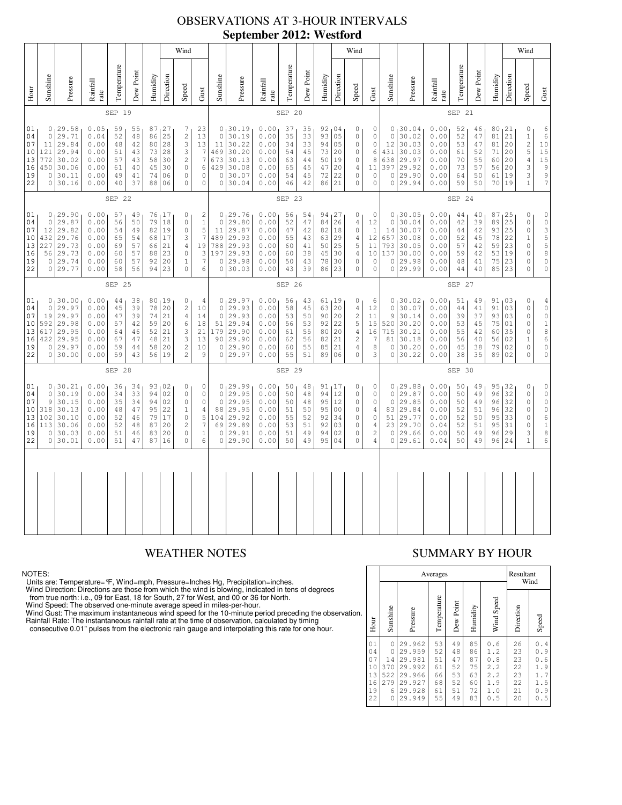### OBSERVATIONS AT 3-HOUR INTERVALS **September 2012: Westford**

|                                                |                                                                                                                                                                                                                                                                                                                                                                                                                                                                                              |                                                                           |                                                              |                                              |                                              |                                                                     | Wind                                             |                                                                                                       |                                                                                        |                                                 |                                                                                      |                                                              |                                              |                                                                                                                               |                                                                                   | Wind                                                         |                                                                                                               |                                                                                                  |                                                                        |                                                                         |                                                                                                                  |                                              |                                                                                                           |                                                                                                     | Wind                                         |                                                                                                                  |                                                                                                                        |
|------------------------------------------------|----------------------------------------------------------------------------------------------------------------------------------------------------------------------------------------------------------------------------------------------------------------------------------------------------------------------------------------------------------------------------------------------------------------------------------------------------------------------------------------------|---------------------------------------------------------------------------|--------------------------------------------------------------|----------------------------------------------|----------------------------------------------|---------------------------------------------------------------------|--------------------------------------------------|-------------------------------------------------------------------------------------------------------|----------------------------------------------------------------------------------------|-------------------------------------------------|--------------------------------------------------------------------------------------|--------------------------------------------------------------|----------------------------------------------|-------------------------------------------------------------------------------------------------------------------------------|-----------------------------------------------------------------------------------|--------------------------------------------------------------|---------------------------------------------------------------------------------------------------------------|--------------------------------------------------------------------------------------------------|------------------------------------------------------------------------|-------------------------------------------------------------------------|------------------------------------------------------------------------------------------------------------------|----------------------------------------------|-----------------------------------------------------------------------------------------------------------|-----------------------------------------------------------------------------------------------------|----------------------------------------------|------------------------------------------------------------------------------------------------------------------|------------------------------------------------------------------------------------------------------------------------|
| $H_{\text{out}}$                               | Sunshine                                                                                                                                                                                                                                                                                                                                                                                                                                                                                     | Pressure                                                                  | Rainfall<br>rate                                             | Temperature                                  | Dew Point                                    | Humidity                                                            | Direction                                        | Speed                                                                                                 | Gust                                                                                   | Sunshine                                        | Pressure                                                                             | Rainfall<br>rate                                             | Temperature                                  | Dew Point                                                                                                                     | Humidity                                                                          | Direction                                                    | Speed                                                                                                         | Gust                                                                                             | Sunshine                                                               | Pressure                                                                | Rainfall<br>rate                                                                                                 | Temperature                                  | Dew Point                                                                                                 | Humidity                                                                                            | Direction                                    | Speed                                                                                                            | $\mbox{Gust}$                                                                                                          |
|                                                |                                                                                                                                                                                                                                                                                                                                                                                                                                                                                              |                                                                           |                                                              | SEP 19                                       |                                              |                                                                     |                                                  |                                                                                                       |                                                                                        |                                                 |                                                                                      |                                                              | SEP 20                                       |                                                                                                                               |                                                                                   |                                                              |                                                                                                               |                                                                                                  |                                                                        |                                                                         |                                                                                                                  | SEP 21                                       |                                                                                                           |                                                                                                     |                                              |                                                                                                                  |                                                                                                                        |
| 01<br>04<br>07<br>$10$<br>13<br>16<br>19<br>22 | 0.05<br>0, 29.58<br>59<br>87 27<br>23<br>55<br>7<br>25<br>$\overline{c}$<br>$\circ$<br>29.71<br>52<br>0.04<br>48<br>86<br>13<br>3<br>29.84<br>0.00<br>48<br>42<br>80<br>28<br>11<br>121<br>29.94<br>0.00<br>43<br>73<br>28<br>3<br>51<br>$\sqrt{2}$<br>772<br>30.02<br>0.00<br>58<br>30<br>57<br>43<br>450<br>30.06<br>0.00<br>40<br>45<br>30<br>$\circ$<br>61<br>30.11<br>0.00<br>49<br>41<br>74<br>06<br>$\circ$<br>$\circ$<br>30.16<br>37<br>$\circ$<br>40<br>88<br>06<br>$\circ$<br>0.00 |                                                                           |                                                              |                                              |                                              | 13<br>$\overline{7}$<br>$\boldsymbol{7}$<br>6<br>$\circ$<br>$\circ$ | $\mathbb O$<br>11<br>673<br>429<br>$\mathbb O$   | 0, 30.19<br>30.19<br>30.22<br>469 30.20<br>30.13<br>30.08<br>30.07<br>0 30.04                         | 0.00<br>0.00<br>0.00<br>0.00<br>0.00<br>0.00<br>0.00<br>0.00                           | 37<br>35<br>34<br>54<br>63<br>65<br>54<br>46    | 35<br>33<br>33<br>45<br>44<br>45<br>45<br>42                                         | 92,04<br>93<br>94<br>73 20<br>50<br>47<br>72<br>86           | 05<br>05<br>19<br>20<br>22<br>21             | 0<br>$\circ$<br>$\mathbb O$<br>$\mathsf{O}\xspace$<br>$\mathsf{O}\xspace$<br>$\overline{4}$<br>$\mathsf{O}\xspace$<br>$\circ$ | 0<br>$\mathsf{O}\xspace$<br>$\mathbb O$<br>6<br>8<br>11<br>$\mathbb O$<br>$\circ$ | $\mathbb O$<br>12<br>431<br>638<br>397<br>$\circ$<br>$\circ$ | 0, 30.04<br>30.02<br>30.03<br>30.03<br>29.97<br>29.92<br>29.90<br>29.94                                       | 0.00<br>0.00<br>0.00<br>0.00<br>0.00<br>0.00<br>0.00<br>0.00                                     | 52<br>52<br>53<br>61<br>70<br>73<br>64<br>59                           | 46<br>47<br>47<br>52<br>55<br>57<br>50<br>50                            | 80, 21<br>81 21<br>81<br>71<br>60<br>56<br>61<br>70 19                                                           | 20<br>20<br>20<br>20<br>19                   | $\mathbb O$<br>$\,1\,$<br>$\sqrt{2}$<br>5<br>$\sqrt{4}$<br>3<br>$\ensuremath{\mathsf{3}}$<br>$\mathbf{1}$ | $\epsilon$<br>$\sqrt{6}$<br>$10$<br>$1\,5$<br>$1\,5$<br>$\begin{bmatrix} 9 \\ 9 \\ 7 \end{bmatrix}$ |                                              |                                                                                                                  |                                                                                                                        |
|                                                | SEP 22                                                                                                                                                                                                                                                                                                                                                                                                                                                                                       |                                                                           |                                                              |                                              |                                              |                                                                     |                                                  | SEP 23                                                                                                |                                                                                        |                                                 |                                                                                      |                                                              |                                              |                                                                                                                               | SEP 24                                                                            |                                                              |                                                                                                               |                                                                                                  |                                                                        |                                                                         |                                                                                                                  |                                              |                                                                                                           |                                                                                                     |                                              |                                                                                                                  |                                                                                                                        |
| 01<br>04<br>07<br>10<br>13<br>16<br>19<br>22   | $\circ$<br>12<br>432<br>227<br>56<br>$\mathbf{0}$                                                                                                                                                                                                                                                                                                                                                                                                                                            | 0, 29.90<br>29.87<br>29.82<br>29.76<br>29.73<br>29.73<br>29.74<br>0 29.77 | 0.00<br>0.00<br>0.00<br>0.00<br>0.00<br>0.00<br>0.00<br>0.00 | 57<br>56<br>54<br>65<br>69<br>60<br>60<br>58 | 49<br>50<br>49<br>54<br>57<br>57<br>57<br>56 | 79<br>82<br>68<br>66<br>88<br>92<br>94                              | 76 17<br>18<br>19<br>17<br>21<br>23<br>20<br>23  | 0<br>$\circ$<br>$\mathbb O$<br>3<br>$\overline{4}$<br>$\circ$<br>$\mathbf{1}$<br>$\circ$              | 2<br>$\,1\,$<br>5<br>7<br>19<br>3<br>$\overline{7}$<br>6                               | $\circ$<br>11<br>489                            | 0, 29, 76<br>29.80<br>29.87<br>29.93<br>788 29.93<br>197 29.93<br>0 29.98<br>0 30.03 | 0.00<br>0.00<br>0.00<br>0.00<br>0.00<br>0.00<br>0.00<br>0.00 | 56<br>52<br>47<br>55<br>60<br>60<br>50<br>43 | 54<br>47<br>42<br>43<br>41<br>38<br>43<br>39                                                                                  | 94, 27<br>84 26<br>82<br>63<br>50<br>45<br>78<br>86                               | 18<br>29<br>25<br>30<br>30<br>23                             | 0<br>$\sqrt{4}$<br>$\circ$<br>$\overline{4}$<br>5<br>$\overline{4}$<br>$\circ$<br>$\circ$                     | 0<br>12<br>$\mathbf{1}$<br>12<br>11<br>10<br>$\circ$<br>$\mathsf{O}\xspace$                      | $\mathsf{O}\xspace$<br>14<br>657<br>793<br>137<br>$\circ$<br>$\circ$   | 0, 30.05<br>30.04<br>30.07<br>30.08<br>30.05<br>30.00<br>29.98<br>29.99 | 0.00<br>0.00<br>0.00<br>0.00<br>0.00<br>0.00<br>0.00<br>0.00                                                     | 44<br>42<br>44<br>52<br>57<br>59<br>48<br>44 | 40<br>39<br>42<br>45<br>42<br>42<br>41<br>40                                                              | 87<br>89<br>93<br>78<br>59<br>53<br>75<br>85                                                        | 25<br>25<br>25<br>22<br>23<br>19<br>23<br>23 | 0<br>$\mathbb O$<br>$\mathbb O$<br>$\mathbf{1}$<br>$\mathbb O$<br>$\mathbb O$<br>$\mathbf 0$<br>$\mathbf 0$      | $\mathsf{O}\xspace$<br>$\mathbb O$<br>$\begin{array}{c} 3 \\ 5 \\ 5 \end{array}$<br>$\mathbb O$<br>$\mathsf{O}\xspace$ |
|                                                | SEP 25                                                                                                                                                                                                                                                                                                                                                                                                                                                                                       |                                                                           |                                                              |                                              |                                              |                                                                     |                                                  |                                                                                                       |                                                                                        |                                                 |                                                                                      |                                                              | SEP 26                                       |                                                                                                                               |                                                                                   |                                                              |                                                                                                               |                                                                                                  | SEP 27                                                                 |                                                                         |                                                                                                                  |                                              |                                                                                                           |                                                                                                     |                                              |                                                                                                                  |                                                                                                                        |
| 01<br>04<br>07<br>10<br>13<br>16<br>19<br>22   | 0<br>$\overline{0}$<br>19<br>592<br>617<br>422<br>$\circ$<br>$\mathbb O$                                                                                                                                                                                                                                                                                                                                                                                                                     | 30.00<br>29.97<br>29.97<br>29.98<br>29.95<br>29.95<br>29.97<br>30.00      | 0.00<br>0.00<br>0.00<br>0.00<br>0.00<br>0.00<br>0.00<br>0.00 | 44<br>45<br>47<br>57<br>64<br>67<br>59<br>59 | 38<br>39<br>39<br>42<br>46<br>47<br>44<br>43 | 78<br>74<br>59<br>52<br>48<br>58<br>56                              | 80, 19<br>20<br>21<br>20<br>21<br>21<br>20<br>19 | $\mathbb O$<br>$\sqrt{2}$<br>$\overline{4}$<br>$\epsilon$<br>3<br>3<br>$\overline{c}$<br>$\mathbf{2}$ | 4<br>10<br>14<br>18<br>21<br>13<br>10<br>9                                             | $\mathbf{0}$<br>$\circ$<br>51<br>179<br>$\circ$ | 0, 29.97<br>29.93<br>29.93<br>29.94<br>29.90<br>90 29.90<br>29.90<br>0 29.97         | 0.00<br>0.00<br>0.00<br>0.00<br>0.00<br>0.00<br>0.00<br>0.00 | 56<br>58<br>53<br>56<br>61<br>62<br>60<br>55 | 43<br>45<br>50<br>53<br>55<br>56<br>55<br>51                                                                                  | 61,19<br>63<br>90<br>92<br>80<br>82<br>85<br>89                                   | 20<br>20<br>22<br>20<br>21<br>21<br>06                       | 0<br>$\overline{4}$<br>$\sqrt{2}$<br>$\mathbb S$<br>$\overline{4}$<br>$\sqrt{2}$<br>$\overline{4}$<br>$\circ$ | 6<br>12<br>11<br>15<br>16<br>7<br>8<br>3                                                         | $\mathbf{0}$<br>$\circ$<br>9<br>520<br>715<br>81<br>$\circ$<br>$\circ$ | 30.02<br>30.07<br>30.14<br>30.20<br>30.21<br>30.18<br>30.20<br>30.22    | 0.00<br>0.00<br>0.00<br>0.00<br>0.00<br>0.00<br>0.00<br>0.00                                                     | 51<br>44<br>39<br>53<br>55<br>56<br>45<br>38 | 49<br>41<br>37<br>45<br>42<br>40<br>38<br>35                                                              | 91,03<br>91<br>93<br>75<br>60<br>56<br>79<br>89                                                     | 03<br>03<br>01<br>35<br>02<br>02<br>02       | $\mathbb O$<br>$\circ$<br>$\mathbb O$<br>$\mathbb O$<br>$\mathbb O$<br>$\mathbf 1$<br>$\mathbb O$<br>$\mathbf 0$ | $\overline{4}$<br>$\circ$<br>$\mathbb O$<br>$\mathbf 1$<br>$\,8\,$<br>$\epsilon$<br>$\mathbb O$<br>$\mathsf{O}\xspace$ |
|                                                |                                                                                                                                                                                                                                                                                                                                                                                                                                                                                              |                                                                           |                                                              | SEP 28                                       |                                              |                                                                     |                                                  |                                                                                                       |                                                                                        | SEP 29                                          |                                                                                      |                                                              |                                              |                                                                                                                               |                                                                                   |                                                              | SEP 30                                                                                                        |                                                                                                  |                                                                        |                                                                         |                                                                                                                  |                                              |                                                                                                           |                                                                                                     |                                              |                                                                                                                  |                                                                                                                        |
| 01<br>04<br>07<br>10<br>13<br>16<br>19<br>22   | $\circ$<br>9<br>318<br>102<br>113<br>$\circ$                                                                                                                                                                                                                                                                                                                                                                                                                                                 | 0, 30.21<br>30.19<br>30.15<br>30.13<br>30.10<br>30.06<br>30.03<br>0 30.01 | 0.00<br>0.00<br>0.00<br>0.00<br>0.00<br>0.00<br>0.00<br>0.00 | 36<br>34<br>35<br>48<br>52<br>52<br>51<br>51 | 34<br>33<br>34<br>47<br>46<br>48<br>46<br>47 | 94<br>94<br>95<br>79<br>87<br>83<br>87                              | 93 02<br>02<br>02<br>22<br>17<br>20<br>20<br>16  | $\,0\,$<br>$\circ$<br>$\circ$<br>$\mathbf{1}$<br>$\circ$<br>$\mathbf{2}$<br>$\circ$<br>$\circ$        | $\circ$<br>$\mathbb O$<br>$\mathbb O$<br>$\overline{4}$<br>5<br>7<br>$\mathbf{1}$<br>6 | $\circ$<br>$\circ$<br>88<br>104<br>69<br>0      | 0, 29.99<br>29.95<br>29.95<br>29.95<br>29.92<br>29.89<br>29.91<br>0 29.90            | 0.00<br>0.00<br>0.00<br>0.00<br>0.00<br>0.00<br>0.00<br>0.00 | 50<br>50<br>50<br>51<br>55<br>53<br>51<br>50 | 48<br>48<br>48<br>50<br>52<br>51<br>49<br>49                                                                                  | 91, 17<br>94<br>95<br>95<br>92<br>92<br>94<br>95                                  | 12<br>12<br>0 <sub>0</sub><br>34<br>03<br>02<br>04           | 0<br>$\mathbb O$<br>$\circ$<br>$\circ$<br>$\circ$<br>$\circ$<br>$\circ$<br>$\circ$                            | 0<br>$\mathsf{O}\xspace$<br>0<br>4<br>$\mathsf{O}\xspace$<br>4<br>$\mathbf{2}$<br>$\overline{4}$ | $\circ$<br>$\circ$<br>83<br>51<br>23<br>$\circ$<br>$\circ$             | 0, 29.88<br>29.87<br>29.85<br>29.84<br>29.77<br>29.70<br>29.66<br>29.61 | 0.00<br>0.00<br>0.00<br>0.00<br>0.00<br>$\ensuremath{\mathbf{0}}$ . $\ensuremath{\mathbf{0}}\,4$<br>0.00<br>0.04 | 50<br>50<br>50<br>52<br>52<br>52<br>50<br>50 | 49<br>49<br>49<br>51<br>50<br>51<br>49<br>49                                                              | 95,32<br>96<br>96<br>96<br>95<br>95<br>96<br>96                                                     | 32<br>32<br>32<br>33<br>31<br>29<br>24       | 0<br>$\mathbb O$<br>$\mathbb O$<br>$\circ$<br>$\mathbf 0$<br>$\mathbb O$<br>3<br>$\mathbf{1}$                    | 0<br>$\mathbb O$<br>$\tilde{0}$<br>$\begin{array}{c} 0 \\ 6 \end{array}$<br>$\mathbf{1}$<br>$\,8\,$<br>6               |
|                                                |                                                                                                                                                                                                                                                                                                                                                                                                                                                                                              |                                                                           |                                                              |                                              |                                              |                                                                     |                                                  |                                                                                                       |                                                                                        |                                                 |                                                                                      |                                                              |                                              |                                                                                                                               |                                                                                   |                                                              |                                                                                                               |                                                                                                  |                                                                        |                                                                         |                                                                                                                  |                                              |                                                                                                           |                                                                                                     |                                              |                                                                                                                  |                                                                                                                        |

### NOTES:

Units are: Temperature= °F, Wind=mph, Pressure=lnches Hg, Precipitation=inches.<br>Wind Direction: Directions are those from which the wind is blowing, indicated in tens of degrees<br>from true north: i.e., 09 for East, 18 for S

# WEATHER NOTES SUMMARY BY HOUR

|                                              |                                                   |                                                                              | Averages                                     |                                              |                                              |                                                      | Resultant<br>Wind                            |                                                          |  |  |  |
|----------------------------------------------|---------------------------------------------------|------------------------------------------------------------------------------|----------------------------------------------|----------------------------------------------|----------------------------------------------|------------------------------------------------------|----------------------------------------------|----------------------------------------------------------|--|--|--|
| Hour                                         | Sunshine                                          | Pressure                                                                     | Temperature                                  | Dew Point                                    | Humidity                                     | Wind Speed                                           | Direction                                    | Speed                                                    |  |  |  |
| 01<br>04<br>07<br>10<br>13<br>16<br>19<br>22 | $\circ$<br>0<br>14<br>370<br>522<br>279<br>6<br>0 | 29.962<br>29.959<br>29.981<br>29.992<br>29.966<br>29.927<br>29.928<br>29.949 | 53<br>52<br>51<br>61<br>66<br>68<br>61<br>55 | 49<br>48<br>47<br>52<br>53<br>52<br>51<br>49 | 85<br>86<br>87<br>75<br>63<br>60<br>72<br>83 | 0.6<br>1.2<br>0.8<br>2.2<br>2.2<br>1.9<br>1.0<br>0.5 | 26<br>23<br>23<br>22<br>23<br>22<br>21<br>20 | .4<br>0<br>0.9<br>0.6<br>1.9<br>1.7<br>1.5<br>0.9<br>0.5 |  |  |  |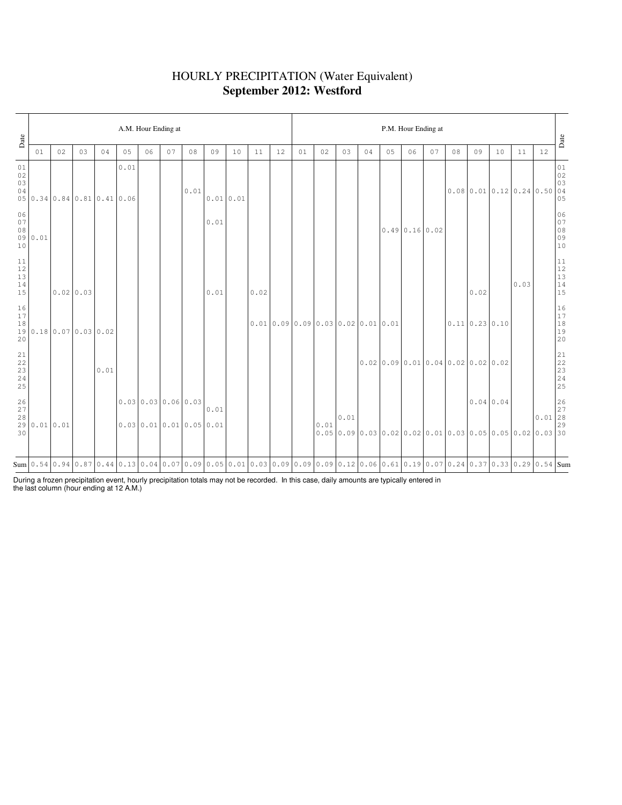# HOURLY PRECIPITATION (Water Equivalent) **September 2012: Westford**

| Date                                                      | A.M. Hour Ending at |                        |          |                             |                                                                                                                                                    |                                                |    |      |      |             |      |    |                              |      |      |    |                                      | P.M. Hour Ending at |    |    |      |                |      |                                                                                                                                                                                                                                                                                                                                                                                                                         | Date                                                      |
|-----------------------------------------------------------|---------------------|------------------------|----------|-----------------------------|----------------------------------------------------------------------------------------------------------------------------------------------------|------------------------------------------------|----|------|------|-------------|------|----|------------------------------|------|------|----|--------------------------------------|---------------------|----|----|------|----------------|------|-------------------------------------------------------------------------------------------------------------------------------------------------------------------------------------------------------------------------------------------------------------------------------------------------------------------------------------------------------------------------------------------------------------------------|-----------------------------------------------------------|
|                                                           | 01                  | 02                     | 03       | 04                          | 05                                                                                                                                                 | 06                                             | 07 | 08   | 09   | 10          | 11   | 12 | 01                           | 02   | 03   | 04 | 05                                   | 06                  | 07 | 08 | 09   | 10             | 11   | 12                                                                                                                                                                                                                                                                                                                                                                                                                      |                                                           |
| 01<br>02<br>03<br>04                                      |                     |                        |          | 05 0.34 0.84 0.81 0.41 0.06 | 0.01                                                                                                                                               |                                                |    | 0.01 |      | $0.01$ 0.01 |      |    |                              |      |      |    |                                      |                     |    |    |      |                |      | $\begin{array}{ c c c c c }\hline \rule[-1mm]{1mm}{3mm} & \rule[-1mm]{1mm}{3mm} & \rule[-1mm]{1mm}{3mm} & \rule[-1mm]{1mm}{3mm} & \rule[-1mm]{1mm}{3mm} & \rule[-1mm]{1mm}{3mm} & \rule[-1mm]{1mm}{3mm} & \rule[-1mm]{1mm}{3mm} & \rule[-1mm]{1mm}{3mm} & \rule[-1mm]{1mm}{3mm} & \rule[-1mm]{1mm}{3mm} & \rule[-1mm]{1mm}{3mm} & \rule[-1mm]{1mm}{3mm} & \rule[-1mm]{1mm}{3mm} & \rule[-1mm]{1mm}{3mm} & \rule[-1mm]{$ |                                                           |
| 06<br>$0.7\,$<br>$08$<br>10                               | 090.01              |                        |          |                             |                                                                                                                                                    |                                                |    |      | 0.01 |             |      |    |                              |      |      |    |                                      | 0.490.160.02        |    |    |      |                |      |                                                                                                                                                                                                                                                                                                                                                                                                                         | 06<br>07<br>08<br>09<br>09<br>10                          |
| 11<br>12<br>13<br>$1\,4$<br>15                            |                     |                        | 0.020.03 |                             |                                                                                                                                                    |                                                |    |      | 0.01 |             | 0.02 |    |                              |      |      |    |                                      |                     |    |    | 0.02 |                | 0.03 |                                                                                                                                                                                                                                                                                                                                                                                                                         | $\begin{array}{c} 11 \\ 12 \\ 13 \\ 14 \\ 15 \end{array}$ |
| 16<br>$17$<br>18<br>20                                    |                     | 19 0.18 0.07 0.03 0.02 |          |                             |                                                                                                                                                    |                                                |    |      |      |             |      |    | 0.010.090.090.030.020.010.01 |      |      |    |                                      |                     |    |    |      | 0.11 0.23 0.10 |      |                                                                                                                                                                                                                                                                                                                                                                                                                         | $\begin{array}{c} 16 \\ 17 \\ 18 \\ 19 \\ 20 \end{array}$ |
| $\begin{array}{c} 21 \\ 22 \end{array}$<br>23<br>24<br>25 |                     |                        |          | 0.01                        |                                                                                                                                                    |                                                |    |      |      |             |      |    |                              |      |      |    | $0.02$ 0.09 0.01 0.04 0.02 0.02 0.02 |                     |    |    |      |                |      |                                                                                                                                                                                                                                                                                                                                                                                                                         | 21<br>22<br>23<br>24<br>25                                |
| 26<br>$27$<br>$2\,8$<br>30                                | 290.010.01          |                        |          |                             |                                                                                                                                                    | $0.03$ 0.03 0.06 0.03<br>0.0300.010.010.050.01 |    |      | 0.01 |             |      |    |                              | 0.01 | 0.01 |    |                                      |                     |    |    |      | 0.0400.04      |      | $\begin{array}{c c} & 26 \\ 27 \\ 0.01 & 28 \end{array}$<br>$0.05$ 0.09 0.03 0.02 0.02 0.01 0.03 0.05 0.05 0.02 0.03 30                                                                                                                                                                                                                                                                                                 | 29                                                        |
|                                                           |                     |                        |          |                             | Sum 0.54 0.94 0.37 0.33 0.29 0.54 Sum 0.54 G.13 0.04 0.07 0.09 0.05 0.01 0.03 0.09 0.09 0.09 0.21 0.06 0.61 0.19 0.07 0.24 0.37 0.33 0.29 0.54 Sum |                                                |    |      |      |             |      |    |                              |      |      |    |                                      |                     |    |    |      |                |      |                                                                                                                                                                                                                                                                                                                                                                                                                         |                                                           |

During a frozen precipitation event, hourly precipitation totals may not be recorded. In this case, daily amounts are typically entered in the last column (hour ending at 12 A.M.)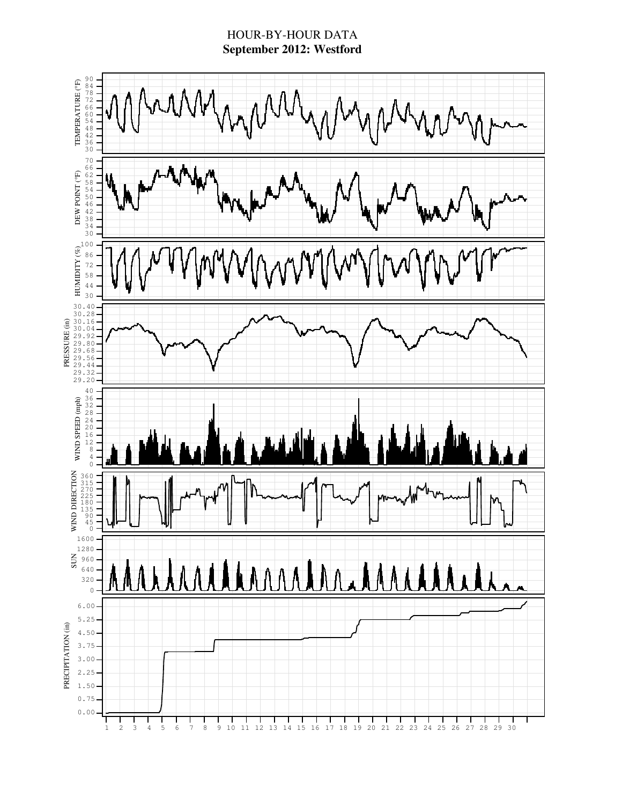### HOUR-BY-HOUR DATA **September 2012: Westford**